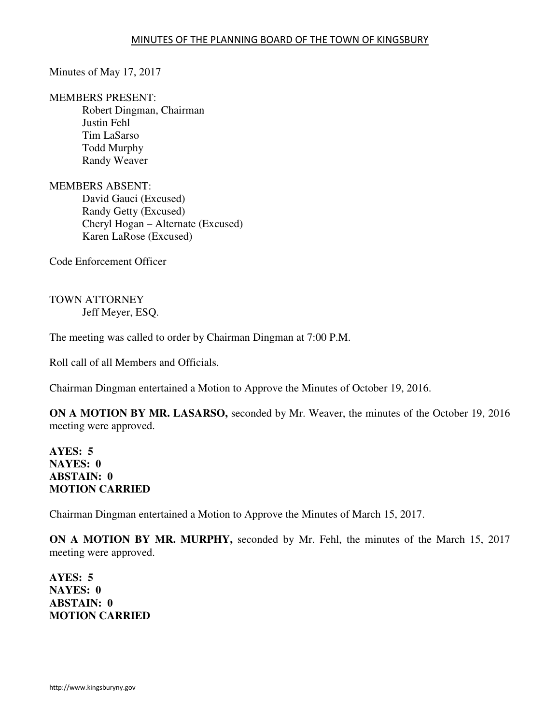Minutes of May 17, 2017

MEMBERS PRESENT:

Robert Dingman, Chairman Justin Fehl Tim LaSarso Todd Murphy Randy Weaver

MEMBERS ABSENT: David Gauci (Excused) Randy Getty (Excused) Cheryl Hogan – Alternate (Excused) Karen LaRose (Excused)

Code Enforcement Officer

TOWN ATTORNEY Jeff Meyer, ESQ.

The meeting was called to order by Chairman Dingman at 7:00 P.M.

Roll call of all Members and Officials.

Chairman Dingman entertained a Motion to Approve the Minutes of October 19, 2016.

**ON A MOTION BY MR. LASARSO,** seconded by Mr. Weaver, the minutes of the October 19, 2016 meeting were approved.

**AYES: 5 NAYES: 0 ABSTAIN: 0 MOTION CARRIED** 

Chairman Dingman entertained a Motion to Approve the Minutes of March 15, 2017.

**ON A MOTION BY MR. MURPHY,** seconded by Mr. Fehl, the minutes of the March 15, 2017 meeting were approved.

**AYES: 5 NAYES: 0 ABSTAIN: 0 MOTION CARRIED**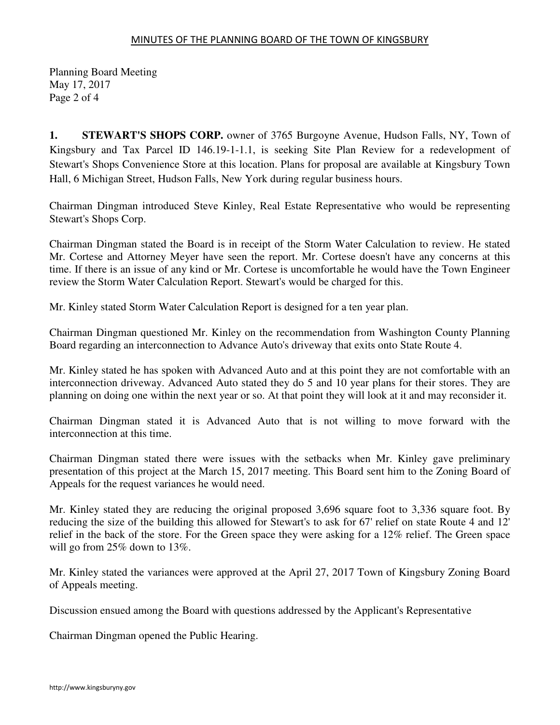## MINUTES OF THE PLANNING BOARD OF THE TOWN OF KINGSBURY

Planning Board Meeting May 17, 2017 Page 2 of 4

**1. STEWART'S SHOPS CORP.** owner of 3765 Burgoyne Avenue, Hudson Falls, NY, Town of Kingsbury and Tax Parcel ID 146.19-1-1.1, is seeking Site Plan Review for a redevelopment of Stewart's Shops Convenience Store at this location. Plans for proposal are available at Kingsbury Town Hall, 6 Michigan Street, Hudson Falls, New York during regular business hours.

Chairman Dingman introduced Steve Kinley, Real Estate Representative who would be representing Stewart's Shops Corp.

Chairman Dingman stated the Board is in receipt of the Storm Water Calculation to review. He stated Mr. Cortese and Attorney Meyer have seen the report. Mr. Cortese doesn't have any concerns at this time. If there is an issue of any kind or Mr. Cortese is uncomfortable he would have the Town Engineer review the Storm Water Calculation Report. Stewart's would be charged for this.

Mr. Kinley stated Storm Water Calculation Report is designed for a ten year plan.

Chairman Dingman questioned Mr. Kinley on the recommendation from Washington County Planning Board regarding an interconnection to Advance Auto's driveway that exits onto State Route 4.

Mr. Kinley stated he has spoken with Advanced Auto and at this point they are not comfortable with an interconnection driveway. Advanced Auto stated they do 5 and 10 year plans for their stores. They are planning on doing one within the next year or so. At that point they will look at it and may reconsider it.

Chairman Dingman stated it is Advanced Auto that is not willing to move forward with the interconnection at this time.

Chairman Dingman stated there were issues with the setbacks when Mr. Kinley gave preliminary presentation of this project at the March 15, 2017 meeting. This Board sent him to the Zoning Board of Appeals for the request variances he would need.

Mr. Kinley stated they are reducing the original proposed 3,696 square foot to 3,336 square foot. By reducing the size of the building this allowed for Stewart's to ask for 67' relief on state Route 4 and 12' relief in the back of the store. For the Green space they were asking for a 12% relief. The Green space will go from 25% down to 13%.

Mr. Kinley stated the variances were approved at the April 27, 2017 Town of Kingsbury Zoning Board of Appeals meeting.

Discussion ensued among the Board with questions addressed by the Applicant's Representative

Chairman Dingman opened the Public Hearing.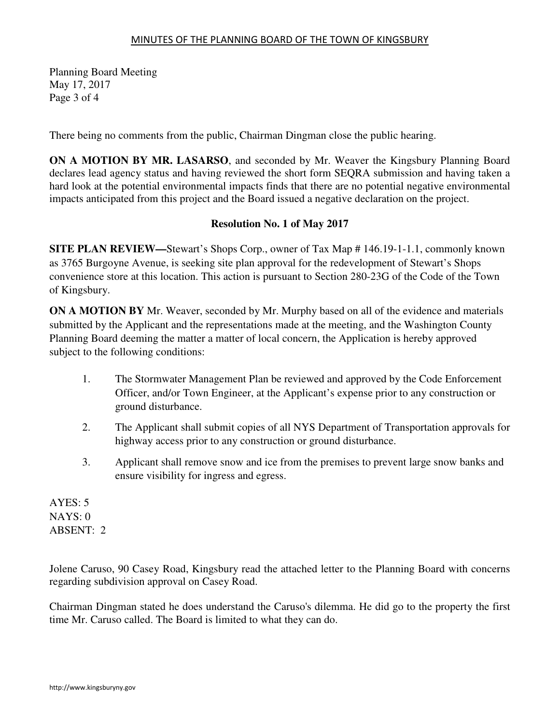## MINUTES OF THE PLANNING BOARD OF THE TOWN OF KINGSBURY

Planning Board Meeting May 17, 2017 Page 3 of 4

There being no comments from the public, Chairman Dingman close the public hearing.

**ON A MOTION BY MR. LASARSO**, and seconded by Mr. Weaver the Kingsbury Planning Board declares lead agency status and having reviewed the short form SEQRA submission and having taken a hard look at the potential environmental impacts finds that there are no potential negative environmental impacts anticipated from this project and the Board issued a negative declaration on the project.

## **Resolution No. 1 of May 2017**

**SITE PLAN REVIEW—**Stewart's Shops Corp., owner of Tax Map # 146.19-1-1.1, commonly known as 3765 Burgoyne Avenue, is seeking site plan approval for the redevelopment of Stewart's Shops convenience store at this location. This action is pursuant to Section 280-23G of the Code of the Town of Kingsbury.

**ON A MOTION BY** Mr. Weaver, seconded by Mr. Murphy based on all of the evidence and materials submitted by the Applicant and the representations made at the meeting, and the Washington County Planning Board deeming the matter a matter of local concern, the Application is hereby approved subject to the following conditions:

- 1. The Stormwater Management Plan be reviewed and approved by the Code Enforcement Officer, and/or Town Engineer, at the Applicant's expense prior to any construction or ground disturbance.
- 2. The Applicant shall submit copies of all NYS Department of Transportation approvals for highway access prior to any construction or ground disturbance.
- 3. Applicant shall remove snow and ice from the premises to prevent large snow banks and ensure visibility for ingress and egress.

AYES: 5 NAYS: 0 ABSENT: 2

Jolene Caruso, 90 Casey Road, Kingsbury read the attached letter to the Planning Board with concerns regarding subdivision approval on Casey Road.

Chairman Dingman stated he does understand the Caruso's dilemma. He did go to the property the first time Mr. Caruso called. The Board is limited to what they can do.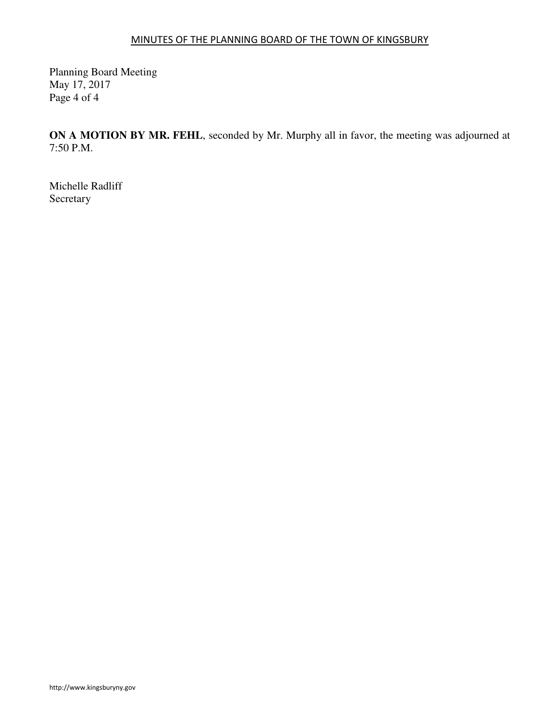## MINUTES OF THE PLANNING BOARD OF THE TOWN OF KINGSBURY

Planning Board Meeting May 17, 2017 Page 4 of 4

**ON A MOTION BY MR. FEHL**, seconded by Mr. Murphy all in favor, the meeting was adjourned at 7:50 P.M.

Michelle Radliff Secretary